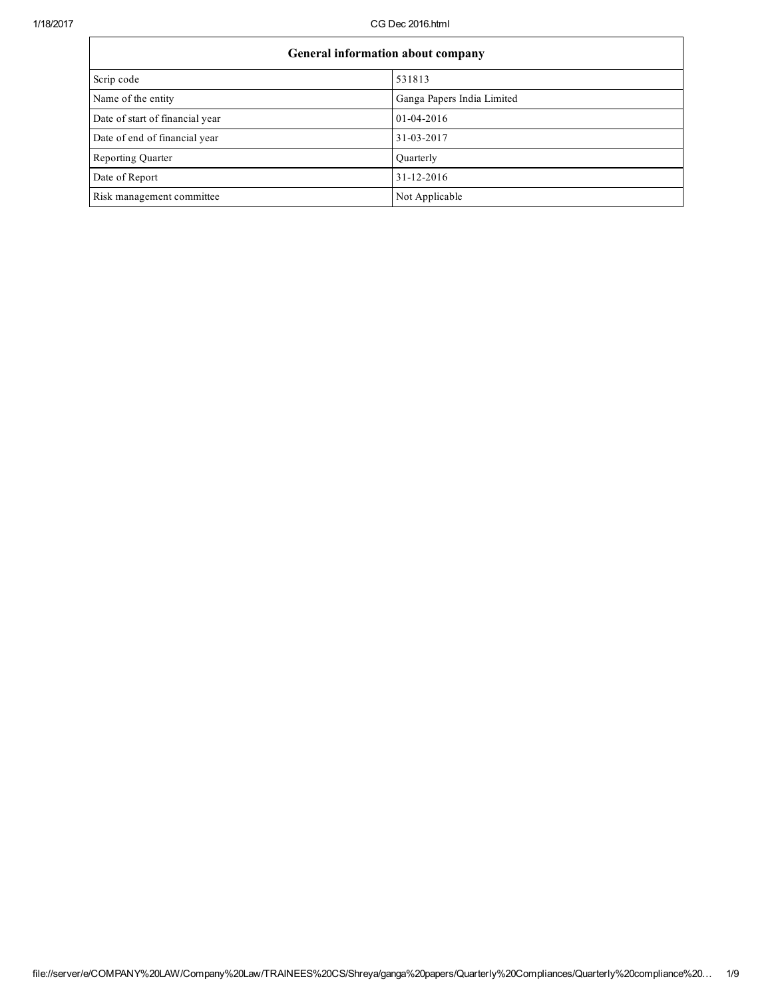| General information about company |                            |  |
|-----------------------------------|----------------------------|--|
| Scrip code                        | 531813                     |  |
| Name of the entity                | Ganga Papers India Limited |  |
| Date of start of financial year   | $01 - 04 - 2016$           |  |
| Date of end of financial year     | 31-03-2017                 |  |
| Reporting Quarter                 | Quarterly                  |  |
| Date of Report                    | 31-12-2016                 |  |
| Risk management committee         | Not Applicable             |  |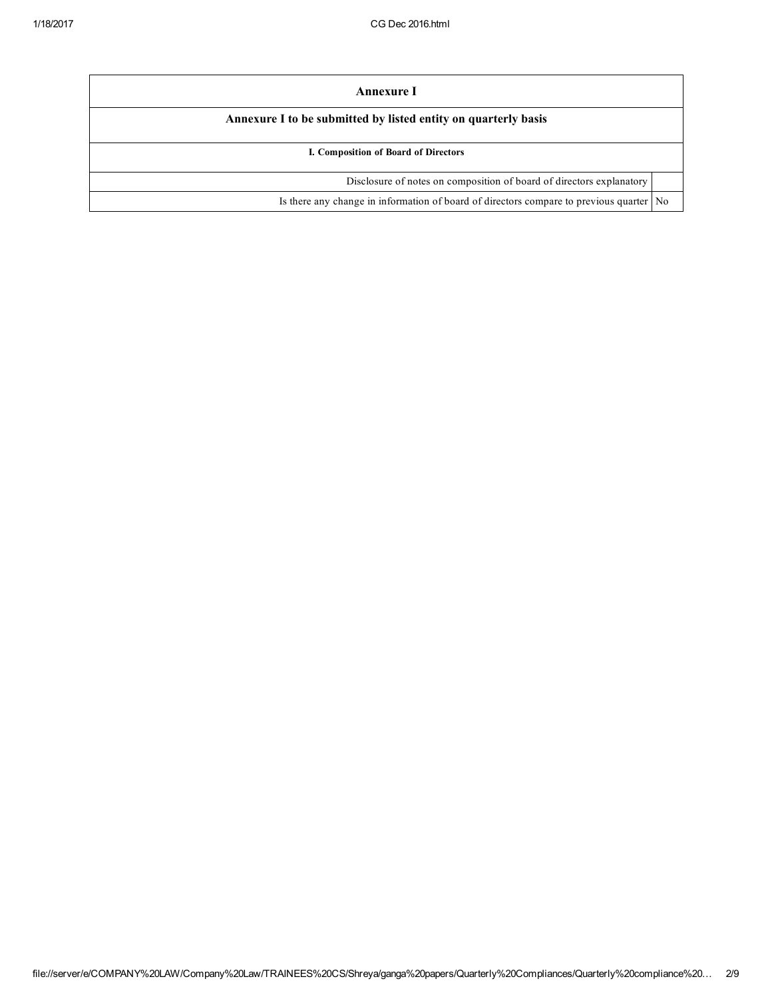| Annexure I                                                                              |  |  |
|-----------------------------------------------------------------------------------------|--|--|
| Annexure I to be submitted by listed entity on quarterly basis                          |  |  |
| I. Composition of Board of Directors                                                    |  |  |
| Disclosure of notes on composition of board of directors explanatory                    |  |  |
| Is there any change in information of board of directors compare to previous quarter No |  |  |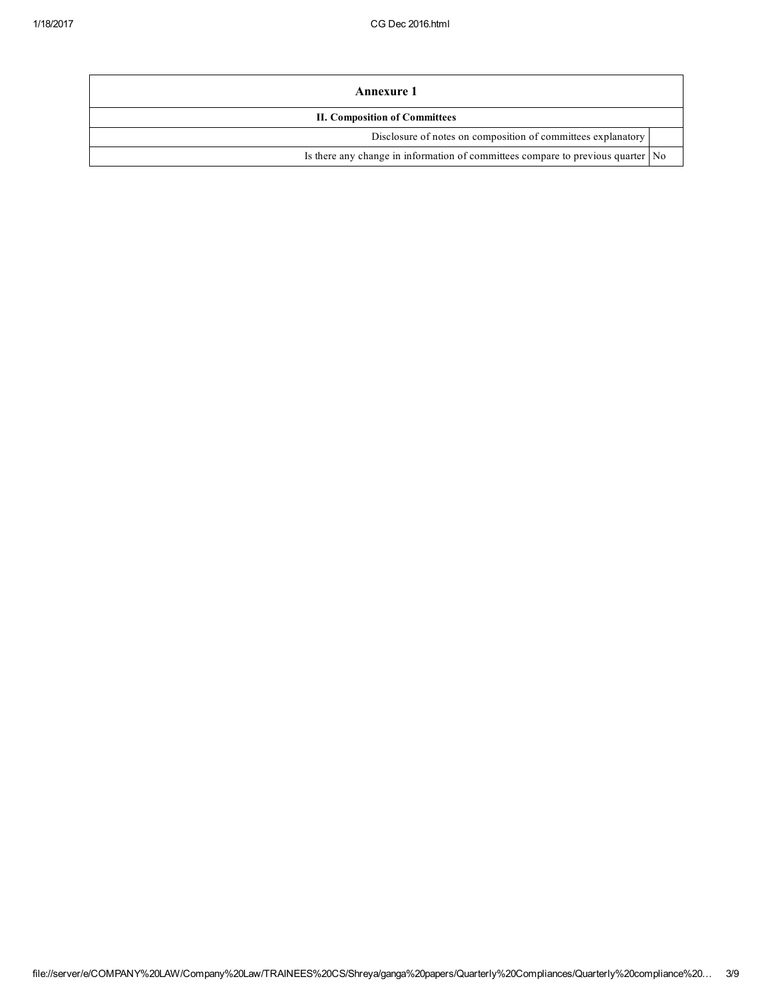| Annexure 1                                                                        |  |  |
|-----------------------------------------------------------------------------------|--|--|
| <b>II. Composition of Committees</b>                                              |  |  |
| Disclosure of notes on composition of committees explanatory                      |  |  |
| Is there any change in information of committees compare to previous quarter   No |  |  |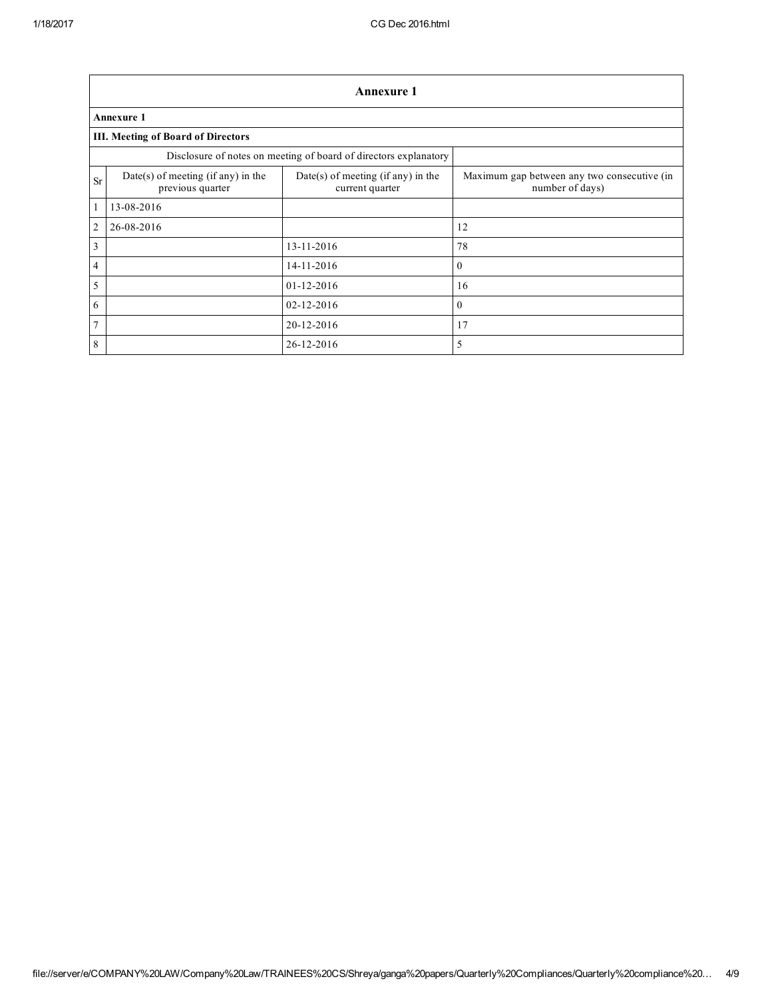|                | <b>Annexure 1</b>                                                |                                                       |                                                                |  |  |
|----------------|------------------------------------------------------------------|-------------------------------------------------------|----------------------------------------------------------------|--|--|
|                | <b>Annexure 1</b>                                                |                                                       |                                                                |  |  |
|                | <b>III. Meeting of Board of Directors</b>                        |                                                       |                                                                |  |  |
|                | Disclosure of notes on meeting of board of directors explanatory |                                                       |                                                                |  |  |
| <b>Sr</b>      | Date(s) of meeting (if any) in the<br>previous quarter           | Date(s) of meeting (if any) in the<br>current quarter | Maximum gap between any two consecutive (in<br>number of days) |  |  |
| $\mathbf{1}$   | 13-08-2016                                                       |                                                       |                                                                |  |  |
| $\overline{2}$ | 26-08-2016                                                       |                                                       | 12                                                             |  |  |
| $\overline{3}$ |                                                                  | 13-11-2016                                            | 78                                                             |  |  |
| $\overline{4}$ |                                                                  | 14-11-2016                                            | $\theta$                                                       |  |  |
| 5              |                                                                  | $01 - 12 - 2016$                                      | 16                                                             |  |  |
| 6              |                                                                  | $02 - 12 - 2016$                                      | $\mathbf{0}$                                                   |  |  |
| $\overline{7}$ |                                                                  | 20-12-2016                                            | 17                                                             |  |  |
| 8              |                                                                  | 26-12-2016                                            | 5                                                              |  |  |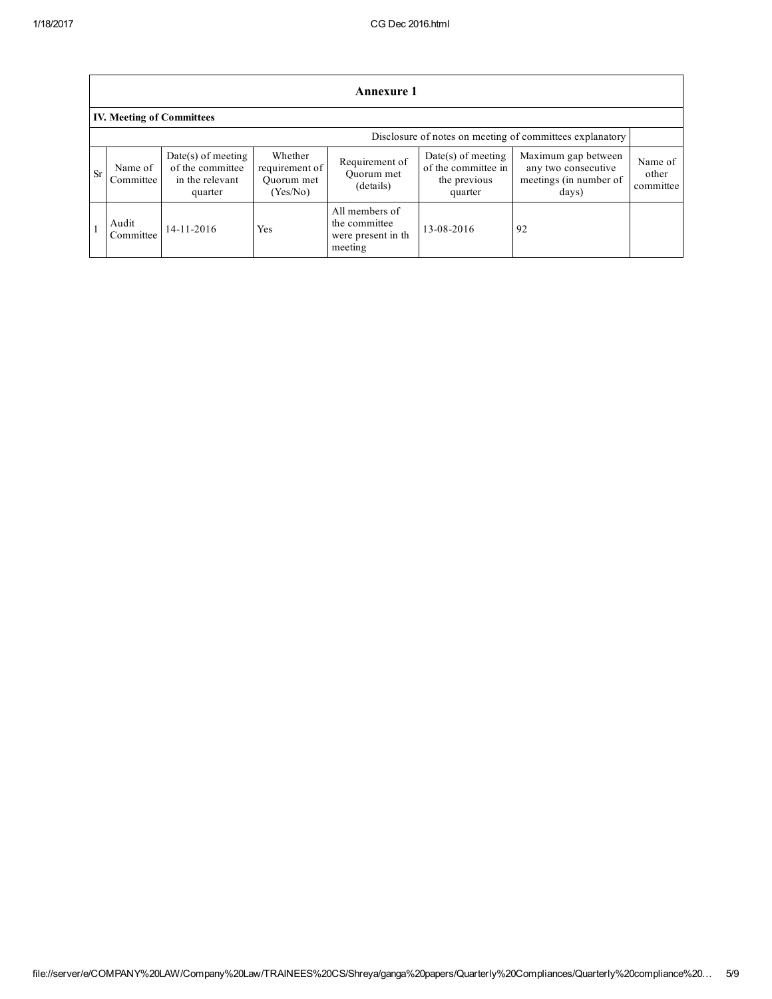|           | <b>Annexure 1</b>                                        |                                                                        |                                                     |                                                                   |                                                                        |                                                                               |                               |
|-----------|----------------------------------------------------------|------------------------------------------------------------------------|-----------------------------------------------------|-------------------------------------------------------------------|------------------------------------------------------------------------|-------------------------------------------------------------------------------|-------------------------------|
|           | <b>IV. Meeting of Committees</b>                         |                                                                        |                                                     |                                                                   |                                                                        |                                                                               |                               |
|           | Disclosure of notes on meeting of committees explanatory |                                                                        |                                                     |                                                                   |                                                                        |                                                                               |                               |
| <b>Sr</b> | Name of<br>Committee                                     | $Date(s)$ of meeting<br>of the committee<br>in the relevant<br>quarter | Whether<br>requirement of<br>Ouorum met<br>(Yes/No) | Requirement of<br>Ouorum met<br>(details)                         | $Date(s)$ of meeting<br>of the committee in<br>the previous<br>quarter | Maximum gap between<br>any two consecutive<br>meetings (in number of<br>days) | Name of<br>other<br>committee |
|           | Audit<br>Committee                                       | 14-11-2016                                                             | Yes                                                 | All members of<br>the committee<br>were present in the<br>meeting | 13-08-2016                                                             | 92                                                                            |                               |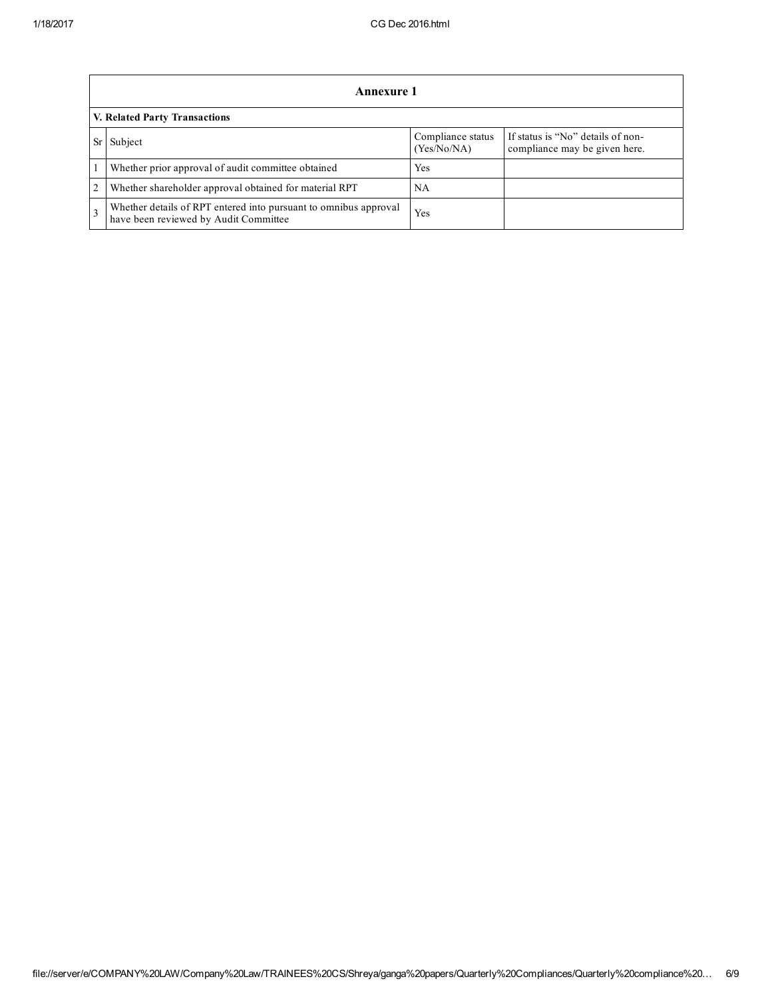|                               | Annexure 1                                                                                                |                                  |                                                                    |  |
|-------------------------------|-----------------------------------------------------------------------------------------------------------|----------------------------------|--------------------------------------------------------------------|--|
| V. Related Party Transactions |                                                                                                           |                                  |                                                                    |  |
|                               | Subject                                                                                                   | Compliance status<br>(Yes/No/NA) | If status is "No" details of non-<br>compliance may be given here. |  |
|                               | Whether prior approval of audit committee obtained                                                        | Yes                              |                                                                    |  |
| $\overline{2}$                | Whether shareholder approval obtained for material RPT                                                    | NΑ                               |                                                                    |  |
|                               | Whether details of RPT entered into pursuant to omnibus approval<br>have been reviewed by Audit Committee | Yes                              |                                                                    |  |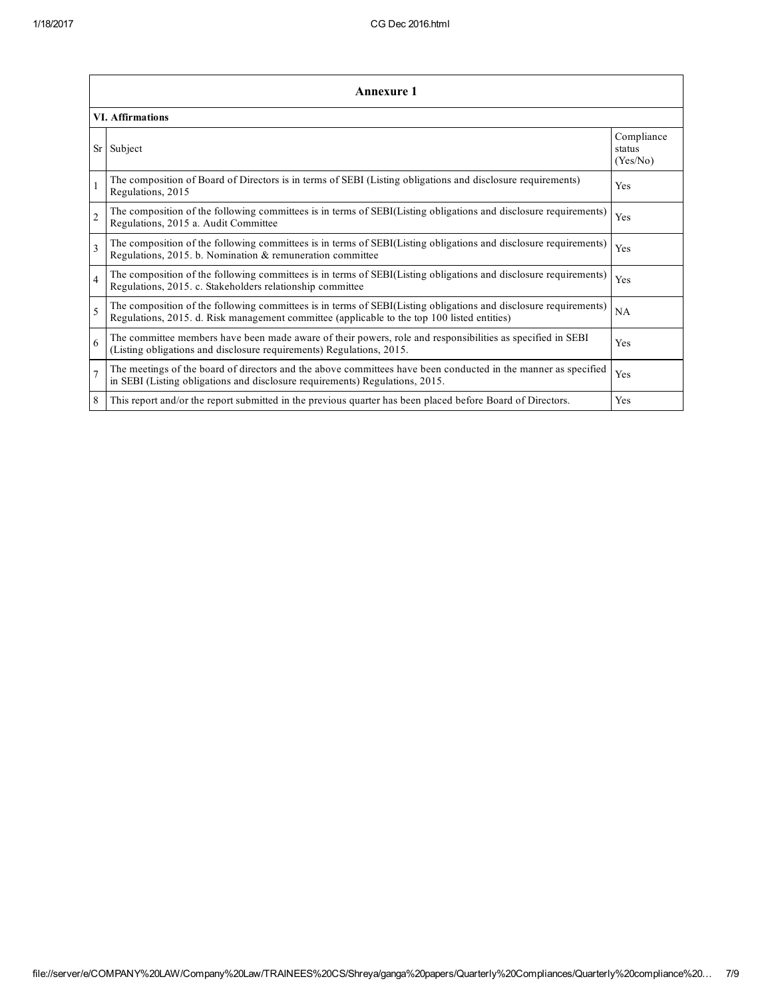|                          | <b>Annexure 1</b>                                                                                                                                                                                               |                                  |  |  |  |  |
|--------------------------|-----------------------------------------------------------------------------------------------------------------------------------------------------------------------------------------------------------------|----------------------------------|--|--|--|--|
|                          | <b>VI.</b> Affirmations                                                                                                                                                                                         |                                  |  |  |  |  |
|                          | Sr Subject                                                                                                                                                                                                      | Compliance<br>status<br>(Yes/No) |  |  |  |  |
|                          | The composition of Board of Directors is in terms of SEBI (Listing obligations and disclosure requirements)<br>Regulations, 2015                                                                                | <b>Yes</b>                       |  |  |  |  |
| $\overline{c}$           | The composition of the following committees is in terms of SEBI(Listing obligations and disclosure requirements)<br>Regulations, 2015 a. Audit Committee                                                        | Yes                              |  |  |  |  |
| $\overline{\mathbf{3}}$  | The composition of the following committees is in terms of SEBI(Listing obligations and disclosure requirements)<br>Regulations, 2015. b. Nomination & remuneration committee                                   | Yes                              |  |  |  |  |
| $\overline{4}$           | The composition of the following committees is in terms of SEBI(Listing obligations and disclosure requirements)<br>Regulations, 2015. c. Stakeholders relationship committee                                   | Yes                              |  |  |  |  |
| $\overline{\mathcal{L}}$ | The composition of the following committees is in terms of SEBI(Listing obligations and disclosure requirements)<br>Regulations, 2015. d. Risk management committee (applicable to the top 100 listed entities) | <b>NA</b>                        |  |  |  |  |
| 6                        | The committee members have been made aware of their powers, role and responsibilities as specified in SEBI<br>(Listing obligations and disclosure requirements) Regulations, 2015.                              | <b>Yes</b>                       |  |  |  |  |
|                          | The meetings of the board of directors and the above committees have been conducted in the manner as specified<br>in SEBI (Listing obligations and disclosure requirements) Regulations, 2015.                  | Yes                              |  |  |  |  |
| 8                        | This report and/or the report submitted in the previous quarter has been placed before Board of Directors.                                                                                                      | <b>Yes</b>                       |  |  |  |  |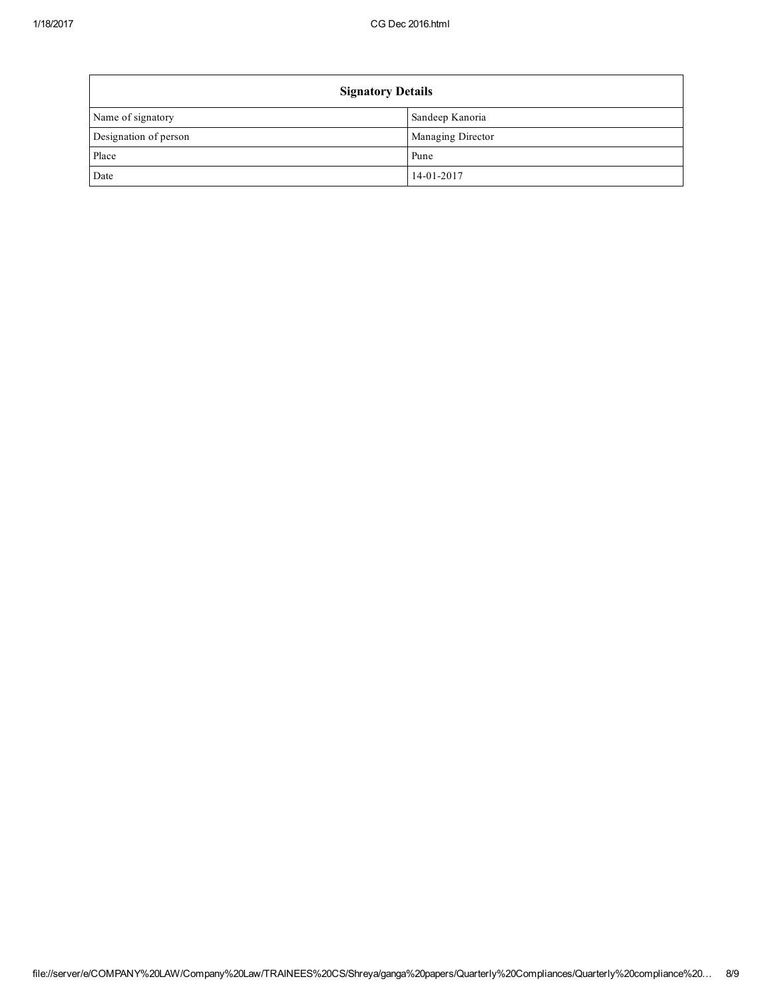| <b>Signatory Details</b> |                          |  |
|--------------------------|--------------------------|--|
| Name of signatory        | Sandeep Kanoria          |  |
| Designation of person    | <b>Managing Director</b> |  |
| Place                    | Pune                     |  |
| Date                     | 14-01-2017               |  |